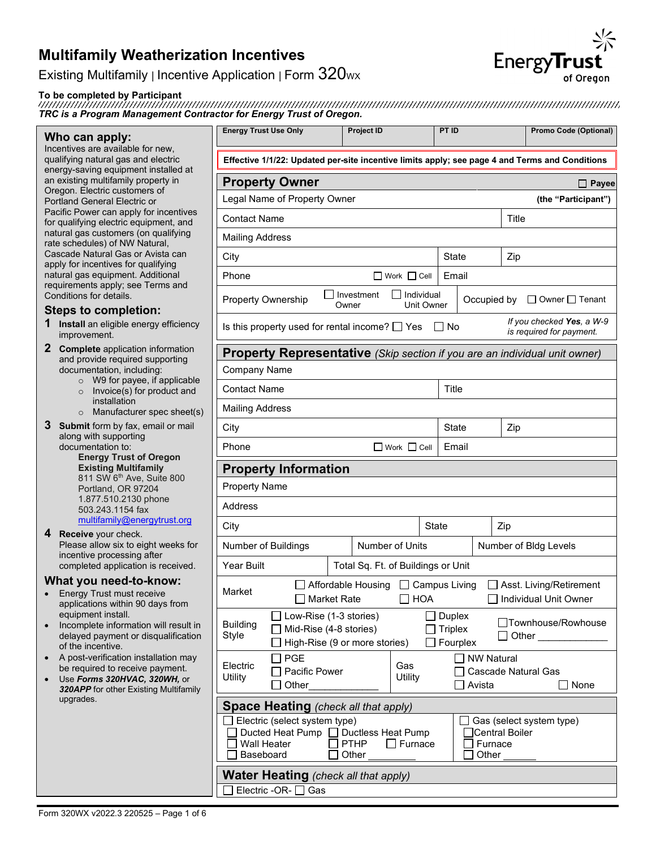Existing Multifamily | Incentive Application | Form 320wx

**To be completed by Participant** *TRC is a Program Management Contractor for Energy Trust of Oregon.*

#### **Who can apply:**

Incentives are available for new, qualifying natural gas and electric energy-saving equipment installed at an existing multifamily property in Oregon. Electric customers of Portland General Electric or Pacific Power can apply for incentives for qualifying electric equipment, and natural gas customers (on qualifying rate schedules) of NW Natural, Cascade Natural Gas or Avista can apply for incentives for qualifying natural gas equipment. Additional requirements apply; see Terms and Conditions for details.

### **Steps to completion:**

- **1 Install** an eligible energy efficiency improvement.
- **2 Complete** application information and provide required supporting documentation, including:
	- o W9 for payee, if applicable<br>
	Ⅰ Invoice(s) for product and
	- Invoice(s) for product and installation
	- $\circ$  Manufacturer spec sheet(
- **3 Submit** form by fax, email or mail along with supporting documentation to:

**Energy Trust of Oregon Existing Multifamily**  811 SW 6<sup>th</sup> Ave, Suite 800 Portland, OR 97204 1.877.510.2130 phone 503.243.1154 fax [multifamily@energytrust.org](mailto:multifamily@energytrust.org)

**4 Receive** your check. Please allow six to eight weeks for incentive processing after completed application is received.

#### **What you need-to-know:**

- Energy Trust must receive applications within 90 days from equipment install.
- Incomplete information will result delayed payment or disqualificatio of the incentive.
- A post-verification installation may be required to receive payment.
- Use *Forms 320HVAC, 320WH,* or 320APP for other Existing Multifami upgrades.

|                                                                                                                                                                    |                                                                                          |                          | PT ID                                       |                                    |       | <b>Promo Code (Optional)</b>                              |
|--------------------------------------------------------------------------------------------------------------------------------------------------------------------|------------------------------------------------------------------------------------------|--------------------------|---------------------------------------------|------------------------------------|-------|-----------------------------------------------------------|
| Effective 1/1/22: Updated per-site incentive limits apply; see page 4 and Terms and Conditions                                                                     |                                                                                          |                          |                                             |                                    |       |                                                           |
| <b>Property Owner</b>                                                                                                                                              |                                                                                          |                          |                                             |                                    |       | Payee                                                     |
| Legal Name of Property Owner                                                                                                                                       |                                                                                          |                          |                                             |                                    |       | (the "Participant")                                       |
| <b>Contact Name</b>                                                                                                                                                |                                                                                          |                          |                                             |                                    | Title |                                                           |
| <b>Mailing Address</b>                                                                                                                                             |                                                                                          |                          |                                             |                                    |       |                                                           |
| City                                                                                                                                                               |                                                                                          |                          | State                                       |                                    | Zip   |                                                           |
| Phone                                                                                                                                                              |                                                                                          | $\Box$ Work $\Box$ Cell  | Email                                       |                                    |       |                                                           |
| <b>Property Ownership</b>                                                                                                                                          | Investment<br>Owner                                                                      | Individual<br>Unit Owner |                                             | Occupied by                        |       | $\Box$ Owner $\Box$ Tenant                                |
| Is this property used for rental income? $\Box$ Yes $\Box$ No                                                                                                      |                                                                                          |                          |                                             |                                    |       | If you checked Yes, a W-9<br>is required for payment.     |
| Property Representative (Skip section if you are an individual unit owner)                                                                                         |                                                                                          |                          |                                             |                                    |       |                                                           |
| Company Name                                                                                                                                                       |                                                                                          |                          |                                             |                                    |       |                                                           |
| <b>Contact Name</b>                                                                                                                                                |                                                                                          |                          | Title                                       |                                    |       |                                                           |
| <b>Mailing Address</b>                                                                                                                                             |                                                                                          |                          |                                             |                                    |       |                                                           |
| City                                                                                                                                                               |                                                                                          |                          | <b>State</b>                                |                                    | Zip   |                                                           |
| Phone                                                                                                                                                              |                                                                                          | $\Box$ Work $\Box$ Cell  | Email                                       |                                    |       |                                                           |
| <b>Property Information</b>                                                                                                                                        |                                                                                          |                          |                                             |                                    |       |                                                           |
| <b>Property Name</b>                                                                                                                                               |                                                                                          |                          |                                             |                                    |       |                                                           |
| <b>Address</b>                                                                                                                                                     |                                                                                          |                          |                                             |                                    |       |                                                           |
| City                                                                                                                                                               |                                                                                          | State                    |                                             |                                    | Zip   |                                                           |
| Number of Buildings                                                                                                                                                |                                                                                          | <b>Number of Units</b>   |                                             |                                    |       | Number of Bldg Levels                                     |
| <b>Year Built</b>                                                                                                                                                  | Total Sq. Ft. of Buildings or Unit                                                       |                          |                                             |                                    |       |                                                           |
| Market                                                                                                                                                             | ] Affordable Housing □ Campus Living<br>□ Market Rate □ HOA                              |                          |                                             |                                    |       | $\Box$ Asst. Living/Retirement<br>□ Individual Unit Owner |
| <b>Building</b><br>Style                                                                                                                                           | $\Box$ Low-Rise (1-3 stories)<br>Mid-Rise (4-8 stories)<br>High-Rise (9 or more stories) |                          | <b>Duplex</b><br><b>Triplex</b><br>Fourplex |                                    |       | □Townhouse/Rowhouse<br><b>Other Community</b>             |
| ] PGE<br>Electric<br>Pacific Power<br>Utility<br>Other                                                                                                             |                                                                                          | Gas<br>Utility           |                                             | NW Natural<br>Avista               |       | Cascade Natural Gas<br>None                               |
| <b>Space Heating</b> (check all that apply)<br>$\exists$ Electric (select system type)<br>Ducted Heat Pump □ Ductless Heat Pump<br><b>Wall Heater</b><br>Baseboard | PTHP<br>Other                                                                            | $\sqcap$ Furnace         |                                             | Central Boiler<br>Furnace<br>Other |       | Gas (select system type)                                  |

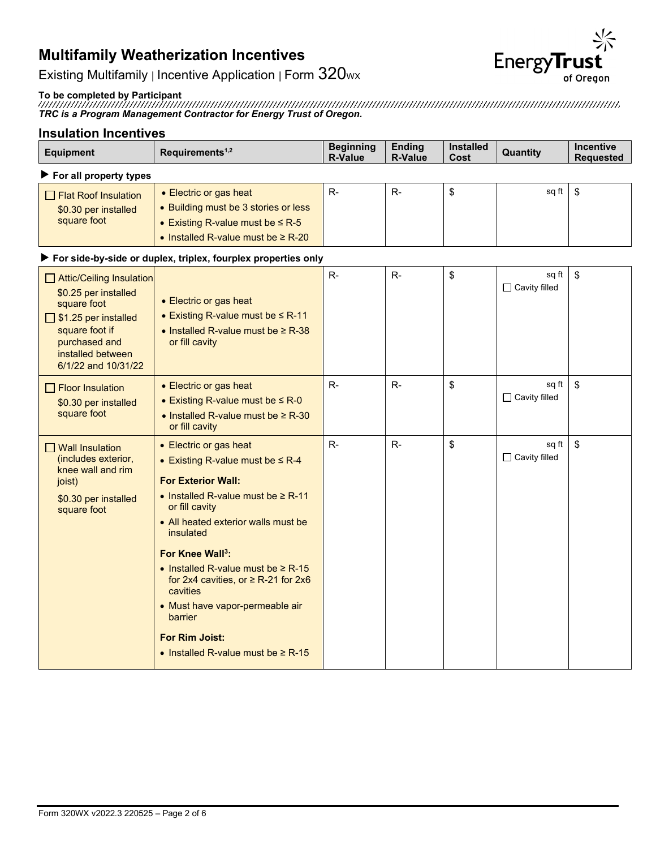

Existing Multifamily | Incentive Application | Form  $320$ wx

#### **To be completed by Participant**

*TRC is a Program Management Contractor for Energy Trust of Oregon.*

### **Insulation Incentives**

| <b>Equipment</b>                                                                                                                                                      | Requirements <sup>1,2</sup>                                                                                                                                                                                                                                                                                                                                                                                                                                        | <b>Beginning</b><br><b>R-Value</b> | <b>Ending</b><br><b>R-Value</b> | <b>Installed</b><br>Cost | Quantity                      | <b>Incentive</b><br><b>Requested</b> |
|-----------------------------------------------------------------------------------------------------------------------------------------------------------------------|--------------------------------------------------------------------------------------------------------------------------------------------------------------------------------------------------------------------------------------------------------------------------------------------------------------------------------------------------------------------------------------------------------------------------------------------------------------------|------------------------------------|---------------------------------|--------------------------|-------------------------------|--------------------------------------|
| $\blacktriangleright$ For all property types                                                                                                                          |                                                                                                                                                                                                                                                                                                                                                                                                                                                                    |                                    |                                 |                          |                               |                                      |
| Flat Roof Insulation<br>\$0.30 per installed<br>square foot                                                                                                           | • Electric or gas heat<br>• Building must be 3 stories or less<br>• Existing R-value must be $\leq$ R-5<br>• Installed R-value must be $\geq$ R-20                                                                                                                                                                                                                                                                                                                 | $R -$                              | $R-$                            | \$                       | sq ft                         | \$                                   |
|                                                                                                                                                                       | For side-by-side or duplex, triplex, fourplex properties only                                                                                                                                                                                                                                                                                                                                                                                                      |                                    |                                 |                          |                               |                                      |
| Attic/Ceiling Insulation<br>\$0.25 per installed<br>square foot<br>S1.25 per installed<br>square foot if<br>purchased and<br>installed between<br>6/1/22 and 10/31/22 | • Electric or gas heat<br>• Existing R-value must be $\leq$ R-11<br>$\bullet$ Installed R-value must be $\geq$ R-38<br>or fill cavity                                                                                                                                                                                                                                                                                                                              | $R-$                               | $R-$                            | \$                       | sq ft<br>$\Box$ Cavity filled | \$                                   |
| $\Box$ Floor Insulation<br>\$0.30 per installed<br>square foot                                                                                                        | • Electric or gas heat<br>• Existing R-value must be $\leq R - 0$<br>$\bullet$ Installed R-value must be $\geq$ R-30<br>or fill cavity                                                                                                                                                                                                                                                                                                                             | $R -$                              | $R-$                            | \$                       | sq ft<br>$\Box$ Cavity filled | $\mathbb S$                          |
| $\Box$ Wall Insulation<br>(includes exterior,<br>knee wall and rim<br>joist)<br>\$0.30 per installed<br>square foot                                                   | • Electric or gas heat<br>• Existing R-value must be $\leq$ R-4<br><b>For Exterior Wall:</b><br>• Installed R-value must be $\geq$ R-11<br>or fill cavity<br>• All heated exterior walls must be<br>insulated<br>For Knee Wall <sup>3</sup> :<br>• Installed R-value must be $\geq$ R-15<br>for 2x4 cavities, or $\geq$ R-21 for 2x6<br>cavities<br>• Must have vapor-permeable air<br>barrier<br><b>For Rim Joist:</b><br>• Installed R-value must be $\geq$ R-15 | $R-$                               | $R-$                            | \$                       | sq ft<br>$\Box$ Cavity filled | \$                                   |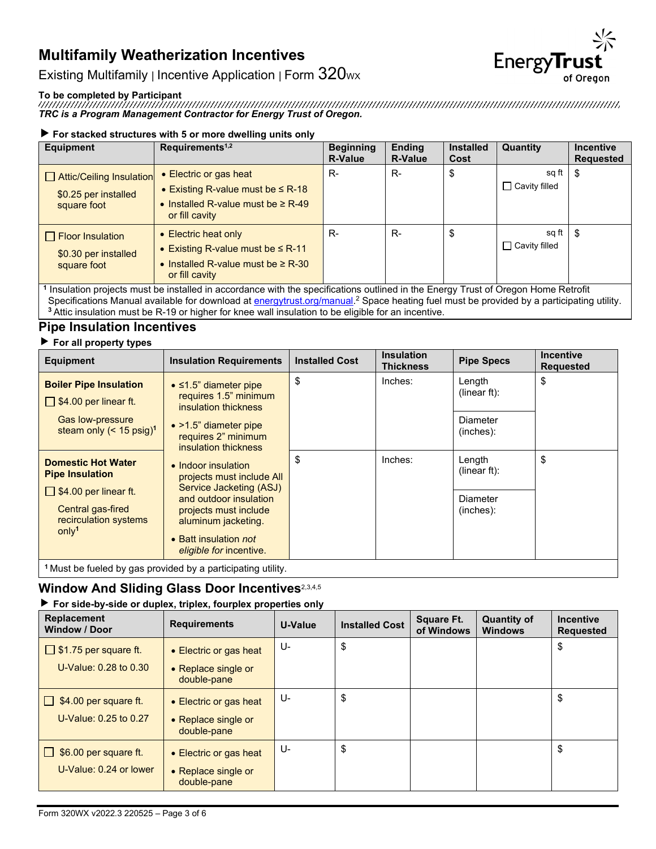

Existing Multifamily | Incentive Application | Form 320wx

### **To be completed by Participant**

*TRC is a Program Management Contractor for Energy Trust of Oregon.*

### **For stacked structures with 5 or more dwelling units only**

| <b>Equipment</b>                                                | Requirements <sup>1,2</sup>                                                                                                                                                                                                                                              | <b>Beginning</b><br><b>R-Value</b> | <b>Ending</b><br><b>R-Value</b> | <b>Installed</b><br>Cost | Quantity                      | <b>Incentive</b><br><b>Requested</b> |
|-----------------------------------------------------------------|--------------------------------------------------------------------------------------------------------------------------------------------------------------------------------------------------------------------------------------------------------------------------|------------------------------------|---------------------------------|--------------------------|-------------------------------|--------------------------------------|
| Attic/Ceiling Insulation<br>\$0.25 per installed<br>square foot | $\bullet$ Electric or gas heat<br>• Existing R-value must be $\leq$ R-18<br>• Installed R-value must be $\geq$ R-49<br>or fill cavity                                                                                                                                    | R-                                 | $R-$                            | \$                       | sq ft<br>$\Box$ Cavity filled | - \$                                 |
| $\Box$ Floor Insulation<br>\$0.30 per installed<br>square foot  | • Electric heat only<br>• Existing R-value must be $\leq$ R-11<br>• Installed R-value must be $\geq$ R-30<br>or fill cavity<br>4 hours and the country to the first of the country of the first of the control of the first of the first of Occupant Hours. Detail first | R-                                 | R-                              | \$                       | sq ft<br>$\Box$ Cavity filled | - \$                                 |

**<sup>1</sup>** Insulation projects must be installed in accordance with the specifications outlined in the Energy Trust of Oregon Home Retrofit Specifications Manual available for download at <u>energytrust.org/manual</u>.<sup>2</sup> Space heating fuel must be provided by a participating utility. **<sup>3</sup>** Attic insulation must be R-19 or higher for knee wall insulation to be eligible for an incentive.

## **Pipe Insulation Incentives**

### **For all property types**

| \$<br>\$<br>Inches:<br>Length<br><b>Boiler Pipe Insulation</b><br>$\bullet$ ≤1.5" diameter pipe<br>(linear $ft$ ):<br>requires 1.5" minimum<br>$\Box$ \$4.00 per linear ft.<br>insulation thickness<br><b>Gas low-pressure</b><br>Diameter<br>$\bullet$ >1.5" diameter pipe<br>steam only $(< 15 \text{ psig})^1$<br>(inches):<br>requires 2" minimum<br>insulation thickness<br>\$<br>\$<br>Inches:<br>Length<br><b>Domestic Hot Water</b><br>• Indoor insulation<br>(linear ft):<br><b>Pipe Insulation</b><br>projects must include All<br>Service Jacketing (ASJ)<br>$\Box$ \$4.00 per linear ft.<br>and outdoor insulation<br>Diameter<br>Central gas-fired<br>projects must include<br>(inches):<br>recirculation systems<br>aluminum jacketing.<br>only <sup>1</sup><br>• Batt insulation not | .<br><b>Equipment</b> | <b>Insulation Requirements</b> | <b>Installed Cost</b> | <b>Insulation</b><br><b>Thickness</b> | <b>Pipe Specs</b> | <b>Incentive</b><br><b>Requested</b> |
|-----------------------------------------------------------------------------------------------------------------------------------------------------------------------------------------------------------------------------------------------------------------------------------------------------------------------------------------------------------------------------------------------------------------------------------------------------------------------------------------------------------------------------------------------------------------------------------------------------------------------------------------------------------------------------------------------------------------------------------------------------------------------------------------------------|-----------------------|--------------------------------|-----------------------|---------------------------------------|-------------------|--------------------------------------|
|                                                                                                                                                                                                                                                                                                                                                                                                                                                                                                                                                                                                                                                                                                                                                                                                     |                       |                                |                       |                                       |                   |                                      |
|                                                                                                                                                                                                                                                                                                                                                                                                                                                                                                                                                                                                                                                                                                                                                                                                     |                       | eligible for incentive.        |                       |                                       |                   |                                      |

**<sup>1</sup>** Must be fueled by gas provided by a participating utility.

### **Window And Sliding Glass Door Incentives**2,3,4,5

### **For side-by-side or duplex, triplex, fourplex properties only**

| <b>Replacement</b><br><b>Window / Door</b> | <b>Requirements</b>                | U-Value | <b>Installed Cost</b> | <b>Square Ft.</b><br>of Windows | <b>Quantity of</b><br><b>Windows</b> | <b>Incentive</b><br><b>Requested</b> |
|--------------------------------------------|------------------------------------|---------|-----------------------|---------------------------------|--------------------------------------|--------------------------------------|
| $\Box$ \$1.75 per square ft.               | • Electric or gas heat             | U-      | \$                    |                                 |                                      | \$                                   |
| U-Value: $0.28$ to $0.30$                  | • Replace single or<br>double-pane |         |                       |                                 |                                      |                                      |
| \$4.00 per square ft.<br>$\mathbf{1}$      | • Electric or gas heat             | U-      | \$                    |                                 |                                      | \$                                   |
| U-Value: 0.25 to 0.27                      | • Replace single or<br>double-pane |         |                       |                                 |                                      |                                      |
| \$6.00 per square ft.                      | • Electric or gas heat             | U-      | \$                    |                                 |                                      | \$                                   |
| U-Value: 0.24 or lower                     | • Replace single or<br>double-pane |         |                       |                                 |                                      |                                      |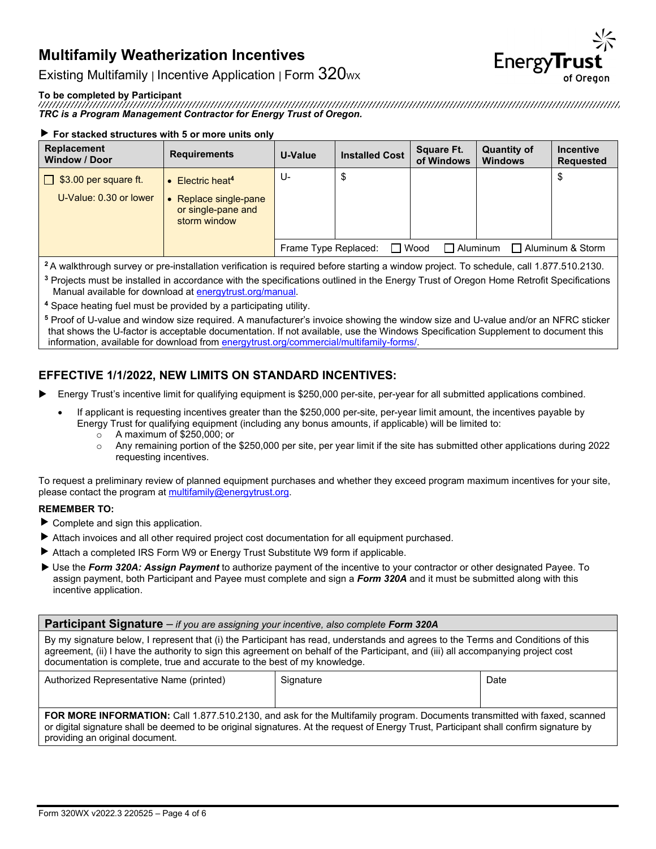

Existing Multifamily | Incentive Application | Form  $320$ <sub>WX</sub>

**To be completed by Participant** *TRC is a Program Management Contractor for Energy Trust of Oregon.*

#### **For stacked structures with 5 or more units only**

| Replacement<br><b>Window / Door</b>                        | <b>Requirements</b>                                                                     | U-Value              | <b>Installed Cost</b> | <b>Square Ft.</b><br>of Windows | <b>Quantity of</b><br><b>Windows</b> | <b>Incentive</b><br><b>Requested</b> |
|------------------------------------------------------------|-----------------------------------------------------------------------------------------|----------------------|-----------------------|---------------------------------|--------------------------------------|--------------------------------------|
| \$3.00 per square ft.<br>$\perp$<br>U-Value: 0.30 or lower | Electric heat <sup>4</sup><br>Replace single-pane<br>or single-pane and<br>storm window | U-                   | \$                    |                                 |                                      | \$                                   |
|                                                            |                                                                                         | Frame Type Replaced: |                       | Wood<br>□ Aluminum              |                                      | Aluminum & Storm                     |

**<sup>2</sup>** A walkthrough survey or pre-installation verification is required before starting a window project. To schedule, call 1.877.510.2130.

**<sup>3</sup>** Projects must be installed in accordance with the specifications outlined in the Energy Trust of Oregon Home Retrofit Specifications Manual available for download a[t energytrust.org/manual.](http://www.energytrust.org/manual)

**<sup>4</sup>** Space heating fuel must be provided by a participating utility.

**<sup>5</sup>** Proof of U-value and window size required. A manufacturer's invoice showing the window size and U-value and/or an NFRC sticker that shows the U-factor is acceptable documentation. If not available, use the Windows Specification Supplement to document this information, available for download from [energytrust.org/commercial/multifamily-forms/.](https://www.energytrust.org/commercial/multifamily-forms/)

## **EFFECTIVE 1/1/2022, NEW LIMITS ON STANDARD INCENTIVES:**

- Energy Trust's incentive limit for qualifying equipment is \$250,000 per-site, per-year for all submitted applications combined.
	- If applicant is requesting incentives greater than the \$250,000 per-site, per-year limit amount, the incentives payable by Energy Trust for qualifying equipment (including any bonus amounts, if applicable) will be limited to:
		- o A maximum of \$250,000; or
		- $\circ$  Any remaining portion of the \$250,000 per site, per year limit if the site has submitted other applications during 2022 requesting incentives.

To request a preliminary review of planned equipment purchases and whether they exceed program maximum incentives for your site, please contact the program a[t multifamily@energytrust.org.](mailto:multifamily@energytrust.org)

#### **REMEMBER TO:**

- $\blacktriangleright$  Complete and sign this application.
- Attach invoices and all other required project cost documentation for all equipment purchased.
- Attach a completed IRS Form W9 or Energy Trust Substitute W9 form if applicable.
- Use the *Form 320A: Assign Payment* to authorize payment of the incentive to your contractor or other designated Payee. To assign payment, both Participant and Payee must complete and sign a *Form 320A* and it must be submitted along with this incentive application.

| <b>Participant Signature</b> - if you are assigning your incentive, also complete Form 320A                                                                                                                                                                                                                                                        |                   |  |  |  |  |
|----------------------------------------------------------------------------------------------------------------------------------------------------------------------------------------------------------------------------------------------------------------------------------------------------------------------------------------------------|-------------------|--|--|--|--|
| By my signature below, I represent that (i) the Participant has read, understands and agrees to the Terms and Conditions of this<br>agreement, (ii) I have the authority to sign this agreement on behalf of the Participant, and (iii) all accompanying project cost<br>documentation is complete, true and accurate to the best of my knowledge. |                   |  |  |  |  |
| Authorized Representative Name (printed)                                                                                                                                                                                                                                                                                                           | Date<br>Signature |  |  |  |  |
|                                                                                                                                                                                                                                                                                                                                                    |                   |  |  |  |  |
| <b>FOR MORE INFORMATION:</b> Call 1.877.510.2130, and ask for the Multifamily program. Documents transmitted with faxed, scanned<br>or digital signature shall be deemed to be original signatures. At the request of Energy Trust, Participant shall confirm signature by                                                                         |                   |  |  |  |  |

providing an original document.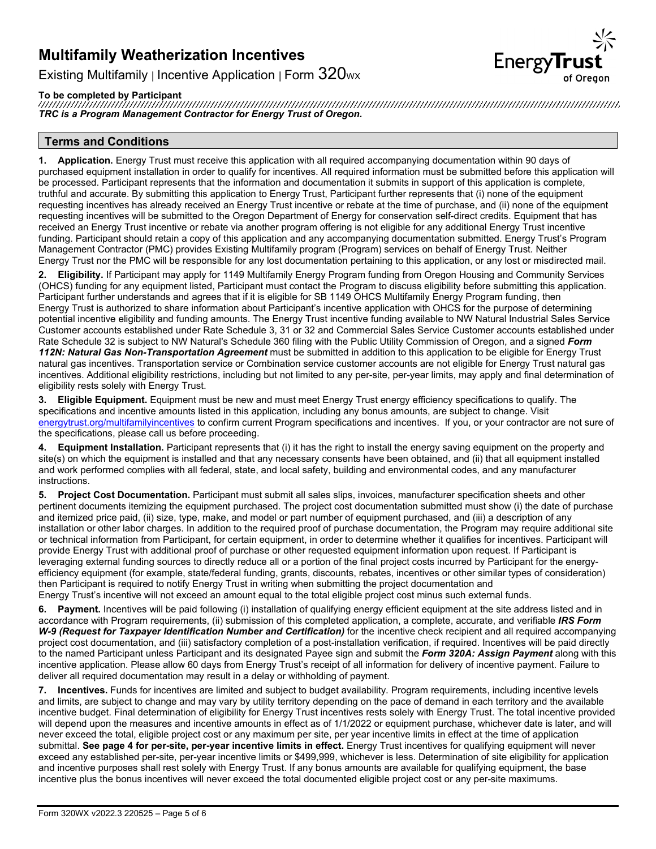**EnergyTrust** 

Existing Multifamily | Incentive Application | Form  $320$ <sub>wx</sub>

**To be completed by Participant** *TRC is a Program Management Contractor for Energy Trust of Oregon.*

### **Terms and Conditions**

**1. Application.** Energy Trust must receive this application with all required accompanying documentation within 90 days of purchased equipment installation in order to qualify for incentives. All required information must be submitted before this application will be processed. Participant represents that the information and documentation it submits in support of this application is complete, truthful and accurate. By submitting this application to Energy Trust, Participant further represents that (i) none of the equipment requesting incentives has already received an Energy Trust incentive or rebate at the time of purchase, and (ii) none of the equipment requesting incentives will be submitted to the Oregon Department of Energy for conservation self-direct credits. Equipment that has received an Energy Trust incentive or rebate via another program offering is not eligible for any additional Energy Trust incentive funding. Participant should retain a copy of this application and any accompanying documentation submitted. Energy Trust's Program Management Contractor (PMC) provides Existing Multifamily program (Program) services on behalf of Energy Trust. Neither Energy Trust nor the PMC will be responsible for any lost documentation pertaining to this application, or any lost or misdirected mail.

**2. Eligibility.** If Participant may apply for 1149 Multifamily Energy Program funding from Oregon Housing and Community Services (OHCS) funding for any equipment listed, Participant must contact the Program to discuss eligibility before submitting this application. Participant further understands and agrees that if it is eligible for SB 1149 OHCS Multifamily Energy Program funding, then Energy Trust is authorized to share information about Participant's incentive application with OHCS for the purpose of determining potential incentive eligibility and funding amounts. The Energy Trust incentive funding available to NW Natural Industrial Sales Service Customer accounts established under Rate Schedule 3, 31 or 32 and Commercial Sales Service Customer accounts established under Rate Schedule 32 is subject to NW Natural's Schedule 360 filing with the Public Utility Commission of Oregon, and a signed *Form 112N: Natural Gas Non-Transportation Agreement* must be submitted in addition to this application to be eligible for Energy Trust natural gas incentives. Transportation service or Combination service customer accounts are not eligible for Energy Trust natural gas incentives. Additional eligibility restrictions, including but not limited to any per-site, per-year limits, may apply and final determination of eligibility rests solely with Energy Trust.

**3. Eligible Equipment.** Equipment must be new and must meet Energy Trust energy efficiency specifications to qualify. The specifications and incentive amounts listed in this application, including any bonus amounts, are subject to change. Visit [energytrust.org/multifamilyincentives](https://www.energytrust.org/wp-content/uploads/2016/10/be_mf_incentive_booklet.pdf?utm_source=multiple&utm_medium=print&utm_content=incentive_booklet&utm_campaign=multifamily) to confirm current Program specifications and incentives. If you, or your contractor are not sure of the specifications, please call us before proceeding.

**4. Equipment Installation.** Participant represents that (i) it has the right to install the energy saving equipment on the property and site(s) on which the equipment is installed and that any necessary consents have been obtained, and (ii) that all equipment installed and work performed complies with all federal, state, and local safety, building and environmental codes, and any manufacturer instructions.

**5. Project Cost Documentation.** Participant must submit all sales slips, invoices, manufacturer specification sheets and other pertinent documents itemizing the equipment purchased. The project cost documentation submitted must show (i) the date of purchase and itemized price paid, (ii) size, type, make, and model or part number of equipment purchased, and (iii) a description of any installation or other labor charges. In addition to the required proof of purchase documentation, the Program may require additional site or technical information from Participant, for certain equipment, in order to determine whether it qualifies for incentives. Participant will provide Energy Trust with additional proof of purchase or other requested equipment information upon request. If Participant is leveraging external funding sources to directly reduce all or a portion of the final project costs incurred by Participant for the energyefficiency equipment (for example, state/federal funding, grants, discounts, rebates, incentives or other similar types of consideration) then Participant is required to notify Energy Trust in writing when submitting the project documentation and Energy Trust's incentive will not exceed an amount equal to the total eligible project cost minus such external funds.

**6. Payment.** Incentives will be paid following (i) installation of qualifying energy efficient equipment at the site address listed and in accordance with Program requirements, (ii) submission of this completed application, a complete, accurate, and verifiable *IRS Form*  W-9 (Request for Taxpayer Identification Number and Certification) for the incentive check recipient and all required accompanying project cost documentation, and (iii) satisfactory completion of a post-installation verification, if required. Incentives will be paid directly to the named Participant unless Participant and its designated Payee sign and submit the *Form 320A: Assign Payment* along with this incentive application. Please allow 60 days from Energy Trust's receipt of all information for delivery of incentive payment. Failure to deliver all required documentation may result in a delay or withholding of payment.

**7. Incentives.** Funds for incentives are limited and subject to budget availability. Program requirements, including incentive levels and limits, are subject to change and may vary by utility territory depending on the pace of demand in each territory and the available incentive budget. Final determination of eligibility for Energy Trust incentives rests solely with Energy Trust. The total incentive provided will depend upon the measures and incentive amounts in effect as of 1/1/2022 or equipment purchase, whichever date is later, and will never exceed the total, eligible project cost or any maximum per site, per year incentive limits in effect at the time of application submittal. **See page 4 for per-site, per-year incentive limits in effect.** Energy Trust incentives for qualifying equipment will never exceed any established per-site, per-year incentive limits or \$499,999, whichever is less. Determination of site eligibility for application and incentive purposes shall rest solely with Energy Trust. If any bonus amounts are available for qualifying equipment, the base incentive plus the bonus incentives will never exceed the total documented eligible project cost or any per-site maximums.